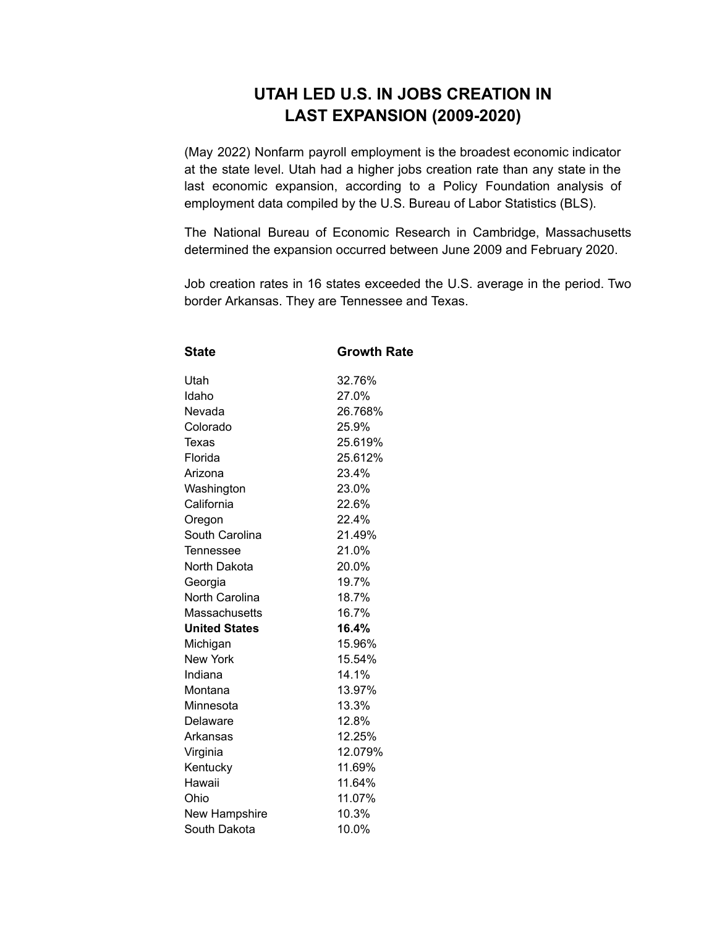## **UTAH LED U.S. IN JOBS CREATION IN LAST EXPANSION (2009-2020)**

(May 2022) Nonfarm payroll employment is the broadest economic indicator at the state level. Utah had a higher jobs creation rate than any state in the last economic expansion, according to a Policy Foundation analysis of employment data compiled by the U.S. Bureau of Labor Statistics (BLS).

The National Bureau of Economic Research in Cambridge, Massachusetts determined the expansion occurred between June 2009 and February 2020.

Job creation rates in 16 states exceeded the U.S. average in the period. Two border Arkansas. They are Tennessee and Texas.

| <b>State</b>          | <b>Growth Rate</b> |
|-----------------------|--------------------|
| Utah                  | 32.76%             |
| Idaho                 | 27.0%              |
| Nevada                | 26.768%            |
| Colorado              | 25.9%              |
| Texas                 | 25.619%            |
| Florida               | 25.612%            |
| Arizona               | 23.4%              |
| Washington            | 23.0%              |
| California            | 22.6%              |
| Oregon                | 22.4%              |
| South Carolina        | 21.49%             |
| Tennessee             | 21.0%              |
| North Dakota          | 20.0%              |
| Georgia               | 19.7%              |
| <b>North Carolina</b> | 18.7%              |
| Massachusetts         | 16.7%              |
| <b>United States</b>  | 16.4%              |
| Michigan              | 15.96%             |
| <b>New York</b>       | 15.54%             |
| Indiana               | 14.1%              |
| Montana               | 13.97%             |
| Minnesota             | 13.3%              |
| Delaware              | 12.8%              |
| Arkansas              | 12.25%             |
| Virginia              | 12.079%            |
| Kentucky              | 11.69%             |
| Hawaii                | 11.64%             |
| Ohio                  | 11.07%             |
| New Hampshire         | 10.3%              |
| South Dakota          | 10.0%              |